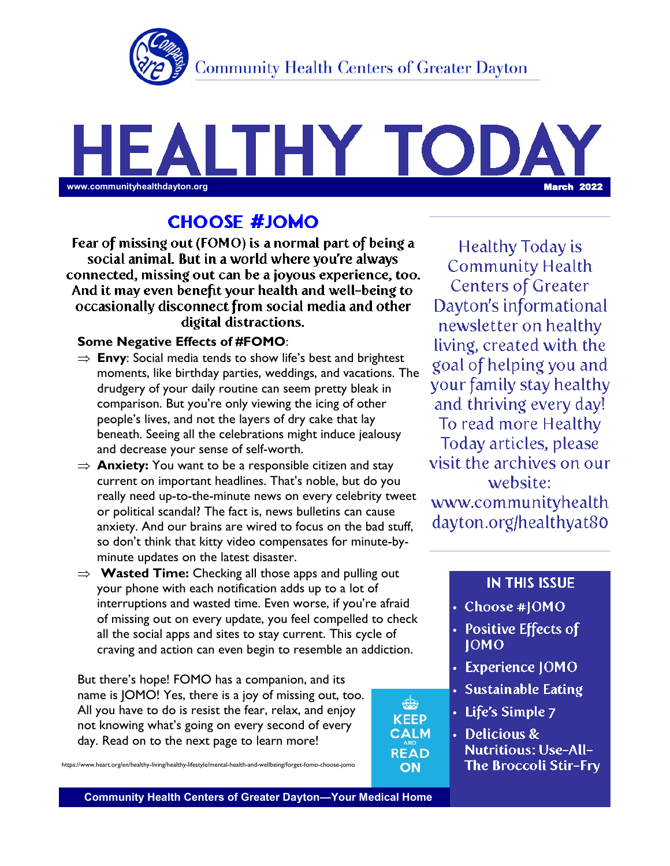

## LTHY TOD www.communityhealthdayton.org **March 2022**

## **CHOOSE #JOMO**

Fear of missing out (FOMO) is a normal part of being a social animal. But in a world where you're always connected, missing out can be a joyous experience, too. And it may even benefit your health and well-being to occasionally disconnect from social media and other digital distractions.

#### **Some Negative Effects of #FOMO**:

- $\Rightarrow$  **Envy**: Social media tends to show life's best and brightest moments, like birthday parties, weddings, and vacations. The drudgery of your daily routine can seem pretty bleak in comparison. But you're only viewing the icing of other people's lives, and not the layers of dry cake that lay beneath. Seeing all the celebrations might induce jealousy and decrease your sense of self-worth.
- $\Rightarrow$  **Anxiety:** You want to be a responsible citizen and stay current on important headlines. That's noble, but do you really need up-to-the-minute news on every celebrity tweet or political scandal? The fact is, news bulletins can cause anxiety. And our brains are wired to focus on the bad stuff, so don't think that kitty video compensates for minute-byminute updates on the latest disaster.
- **Wasted Time:** Checking all those apps and pulling out your phone with each notification adds up to a lot of interruptions and wasted time. Even worse, if you're afraid of missing out on every update, you feel compelled to check all the social apps and sites to stay current. This cycle of craving and action can even begin to resemble an addiction.

But there's hope! FOMO has a companion, and its name is JOMO! Yes, there is a joy of missing out, too. All you have to do is resist the fear, relax, and enjoy not knowing what's going on every second of every day. Read on to the next page to learn more!

https://www.heart.org/en/healthy-living/healthy-lifestyle/mental-health-and-wellbeing/forget-fomo-choose-jomo

Healthy Today is **Community Health Centers of Greater** Dayton's informational newsletter on healthy living, created with the goal of helping you and your family stay healthy and thriving every day! To read more Healthy Today articles, please visit the archives on our website: www.communityhealth dayton.org/healthyat80

#### **IN THIS ISSUE**

- Choose #JOMO
- Positive Effects of **IOMO**
- Experience JOMO
- Sustainable Eating
- Life's Simple 7

₩ **KEEP CALM** 

**READ** 

ON

• Delicious & **Nutritious: Use-All-The Broccoli Stir-Fry**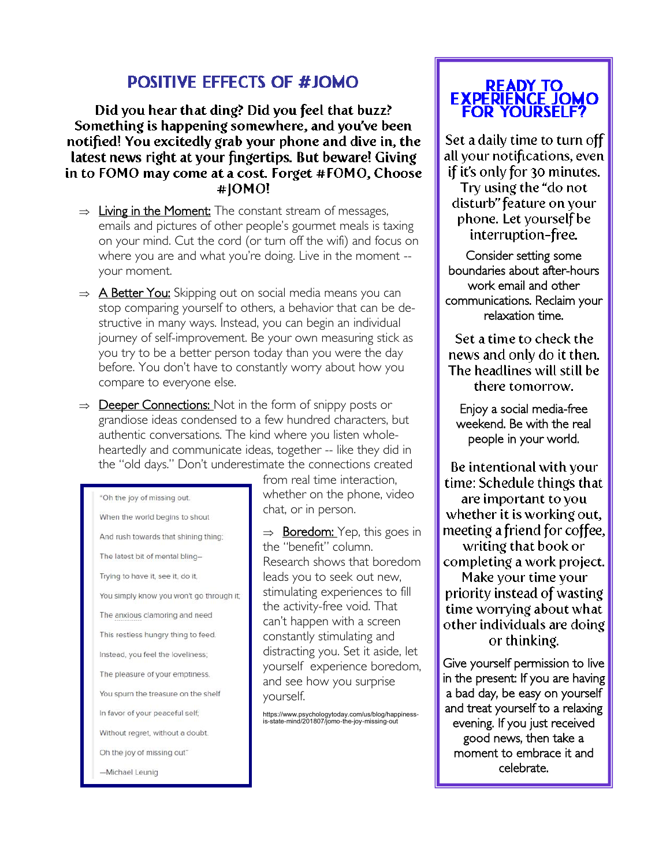## **POSITIVE EFFECTS OF #JOMO**

Did you hear that ding? Did you feel that buzz? Something is happening somewhere, and you've been notified! You excitedly grab your phone and dive in, the latest news right at your fingertips. But beware! Giving in to FOMO may come at a cost. Forget #FOMO, Choose #IOMO!

- $\Rightarrow$  Living in the Moment: The constant stream of messages, emails and pictures of other people's gourmet meals is taxing on your mind. Cut the cord (or turn off the wifi) and focus on where you are and what you're doing. Live in the moment - your moment.
- $\Rightarrow$  **A Better You:** Skipping out on social media means you can stop comparing yourself to others, a behavior that can be destructive in many ways. Instead, you can begin an individual journey of self-improvement. Be your own measuring stick as you try to be a better person today than you were the day before. You don't have to constantly worry about how you compare to everyone else.
- $\Rightarrow$  **Deeper Connections:** Not in the form of snippy posts or grandiose ideas condensed to a few hundred characters, but authentic conversations. The kind where you listen wholeheartedly and communicate ideas, together -- like they did in the "old days." Don't underestimate the connections created

"Oh the joy of missing out. When the world begins to shout And rush towards that shining thing; The latest bit of mental bling-Trying to have it, see it, do it, You simply know you won't go through it; The anxious clamoring and need This restless hungry thing to feed. Instead, you feel the loveliness; The pleasure of your emptiness. You spurn the treasure on the shelf In favor of your peaceful self; Without regret, without a doubt. Oh the joy of missing out"

-Michael Leunig

from real time interaction, whether on the phone, video chat, or in person.

 $\Rightarrow$  **Boredom:** Yep, this goes in the "benefit" column. Research shows that boredom leads you to seek out new, stimulating experiences to fill the activity-free void. That can't happen with a screen constantly stimulating and distracting you. Set it aside, let yourself experience boredom, and see how you surprise yourself.

https://www.psychologytoday.com/us/blog/happiness-is-state-mind/201807/jomo-the-joy-missing-out

# READY TO<br>EXPERIENCE JOMO<br>FOR YOURSELF?

Set a daily time to turn off all your notifications, even if it's only for 30 minutes.

Try using the "do not disturb" feature on your phone. Let yourself be interruption-free.

Consider setting some boundaries about after-hours work email and other communications. Reclaim your relaxation time.

Set a time to check the news and only do it then. The headlines will still be there tomorrow.

Enjoy a social media-free weekend. Be with the real people in your world.

Be intentional with your time: Schedule things that are important to you whether it is working out, meeting a friend for coffee, writing that book or completing a work project. Make your time your priority instead of wasting time worrying about what other individuals are doing or thinking.

Give yourself permission to live in the present: If you are having a bad day, be easy on yourself and treat yourself to a relaxing evening. If you just received good news, then take a moment to embrace it and celebrate.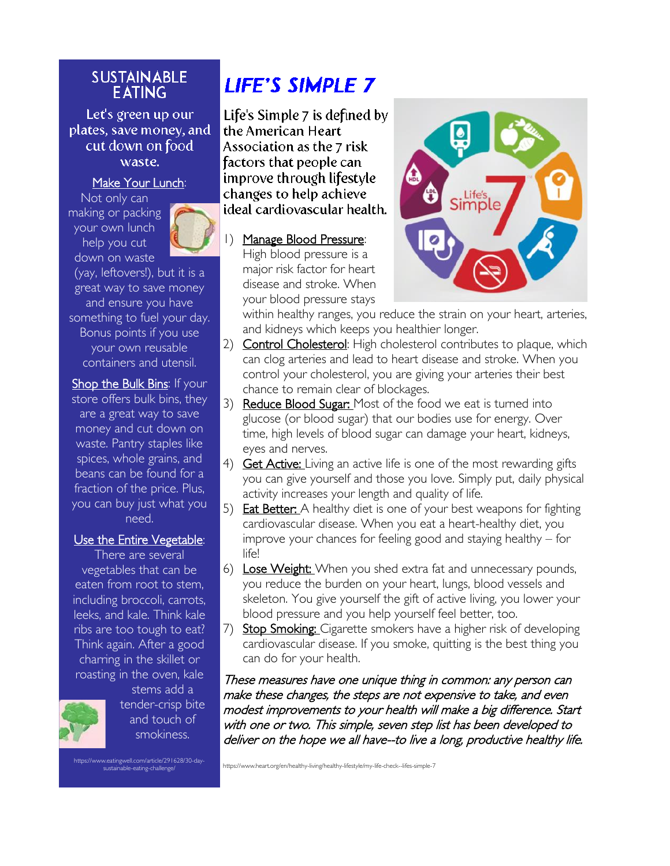#### **SUSTAINABLE EATING**

Let's green up our plates, save money, and cut down on food waste.

#### Make Your Lunch:

Not only can making or packing your own lunch help you cut down on waste



(yay, leftovers!), but it is a great way to save money and ensure you have something to fuel your day. Bonus points if you use your own reusable containers and utensil.

Shop the Bulk Bins: If your store offers bulk bins, they are a great way to save money and cut down on waste. Pantry staples like spices, whole grains, and beans can be found for a fraction of the price. Plus, you can buy just what you need.

#### Use the Entire Vegetable:

There are several vegetables that can be eaten from root to stem, including broccoli, carrots, leeks, and kale. Think kale ribs are too tough to eat? Think again. After a good charring in the skillet or roasting in the oven, kale



stems add a tender-crisp bite and touch of smokiness.

https://www.eatingwell.com/article/291628/30-day-sustainable-eating-challenge/

## **LIFE'S SIMPLE 7**

Life's Simple 7 is defined by the American Heart Association as the 7 risk factors that people can improve through lifestyle changes to help achieve ideal cardiovascular health.

1) Manage Blood Pressure: High blood pressure is a major risk factor for heart disease and stroke. When your blood pressure stays



within healthy ranges, you reduce the strain on your heart, arteries, and kidneys which keeps you healthier longer.

- 2) **Control Cholesterol:** High cholesterol contributes to plaque, which can clog arteries and lead to heart disease and stroke. When you control your cholesterol, you are giving your arteries their best chance to remain clear of blockages.
- 3) Reduce Blood Sugar: Most of the food we eat is turned into glucose (or blood sugar) that our bodies use for energy. Over time, high levels of blood sugar can damage your heart, kidneys, eyes and nerves.
- 4) **Get Active:** Living an active life is one of the most rewarding gifts you can give yourself and those you love. Simply put, daily physical activity increases your length and quality of life.
- 5) **Eat Better:** A healthy diet is one of your best weapons for fighting cardiovascular disease. When you eat a heart-healthy diet, you improve your chances for feeling good and staying healthy – for life!
- 6) Lose Weight: When you shed extra fat and unnecessary pounds, you reduce the burden on your heart, lungs, blood vessels and skeleton. You give yourself the gift of active living, you lower your blood pressure and you help yourself feel better, too.
- 7) Stop Smoking: Cigarette smokers have a higher risk of developing cardiovascular disease. If you smoke, quitting is the best thing you can do for your health.

These measures have one unique thing in common: any person can make these changes, the steps are not expensive to take, and even modest improvements to your health will make a big difference. Start with one or two. This simple, seven step list has been developed to deliver on the hope we all have--to live a long, productive healthy life.

https://www.heart.org/en/healthy-living/healthy-lifestyle/my-life-check--lifes-simple-7